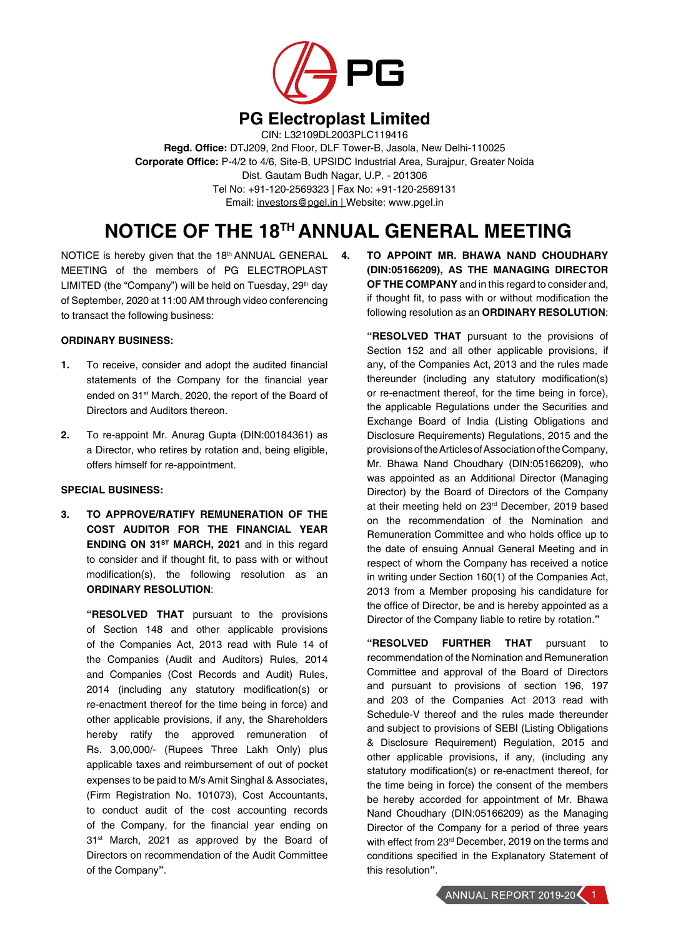

## **PG Electroplast Limited**

CIN: L32109DL2003PLC119416 **Regd. Office:** DTJ209, 2nd Floor, DLF Tower-B, Jasola, New Delhi-110025 **Corporate Office:** P-4/2 to 4/6, Site-B, UPSIDC Industrial Area, Surajpur, Greater Noida Dist. Gautam Budh Nagar, U.P. - 201306 Tel No: +91-120-2569323 | Fax No: +91-120-2569131 Email: investors@pgel.in | Website: www.pgel.in

# **NOTICE OF THE 18TH ANNUAL GENERAL MEETING**

NOTICE is hereby given that the 18th ANNUAL GENERAL 4. MEETING of the members of PG ELECTROPLAST LIMITED (the "Company") will be held on Tuesday, 29<sup>th</sup> day of September, 2020 at 11:00 AM through video conferencing to transact the following business:

## **ORDINARY BUSINESS:**

- **1.** To receive, consider and adopt the audited financial statements of the Company for the financial year ended on 31<sup>st</sup> March, 2020, the report of the Board of Directors and Auditors thereon.
- **2.** To re-appoint Mr. Anurag Gupta (DIN:00184361) as a Director, who retires by rotation and, being eligible, offers himself for re-appointment.

## **SPECIAL BUSINESS:**

**3. TO APPROVE/RATIFY REMUNERATION OF THE COST AUDITOR FOR THE FINANCIAL YEAR ENDING ON 31<sup>st</sup> MARCH, 2021** and in this regard to consider and if thought fit, to pass with or without modification(s), the following resolution as an **ORDINARY RESOLUTION**:

**"RESOLVED THAT** pursuant to the provisions of Section 148 and other applicable provisions of the Companies Act, 2013 read with Rule 14 of the Companies (Audit and Auditors) Rules, 2014 and Companies (Cost Records and Audit) Rules, 2014 (including any statutory modification(s) or re-enactment thereof for the time being in force) and other applicable provisions, if any, the Shareholders hereby ratify the approved remuneration of Rs. 3,00,000/- (Rupees Three Lakh Only) plus applicable taxes and reimbursement of out of pocket expenses to be paid to M/s Amit Singhal & Associates, (Firm Registration No. 101073), Cost Accountants, to conduct audit of the cost accounting records of the Company, for the financial year ending on 31<sup>st</sup> March, 2021 as approved by the Board of Directors on recommendation of the Audit Committee of the Company**"**.

**4. TO APPOINT MR. BHAWA NAND CHOUDHARY (DIN:05166209), AS THE MANAGING DIRECTOR OF THE COMPANY** and in this regard to consider and, if thought fit, to pass with or without modification the following resolution as an **ORDINARY RESOLUTION**:

**"RESOLVED THAT** pursuant to the provisions of Section 152 and all other applicable provisions, if any, of the Companies Act, 2013 and the rules made thereunder (including any statutory modification(s) or re-enactment thereof, for the time being in force), the applicable Regulations under the Securities and Exchange Board of India (Listing Obligations and Disclosure Requirements) Regulations, 2015 and the provisions of the Articles of Association of the Company, Mr. Bhawa Nand Choudhary (DIN:05166209), who was appointed as an Additional Director (Managing Director) by the Board of Directors of the Company at their meeting held on 23<sup>rd</sup> December, 2019 based on the recommendation of the Nomination and Remuneration Committee and who holds office up to the date of ensuing Annual General Meeting and in respect of whom the Company has received a notice in writing under Section 160(1) of the Companies Act, 2013 from a Member proposing his candidature for the office of Director, be and is hereby appointed as a Director of the Company liable to retire by rotation.**"**

**"RESOLVED FURTHER THAT** pursuant to recommendation of the Nomination and Remuneration Committee and approval of the Board of Directors and pursuant to provisions of section 196, 197 and 203 of the Companies Act 2013 read with Schedule-V thereof and the rules made thereunder and subject to provisions of SEBI (Listing Obligations & Disclosure Requirement) Regulation, 2015 and other applicable provisions, if any, (including any statutory modification(s) or re-enactment thereof, for the time being in force) the consent of the members be hereby accorded for appointment of Mr. Bhawa Nand Choudhary (DIN:05166209) as the Managing Director of the Company for a period of three years with effect from 23rd December, 2019 on the terms and conditions specified in the Explanatory Statement of this resolution**"**.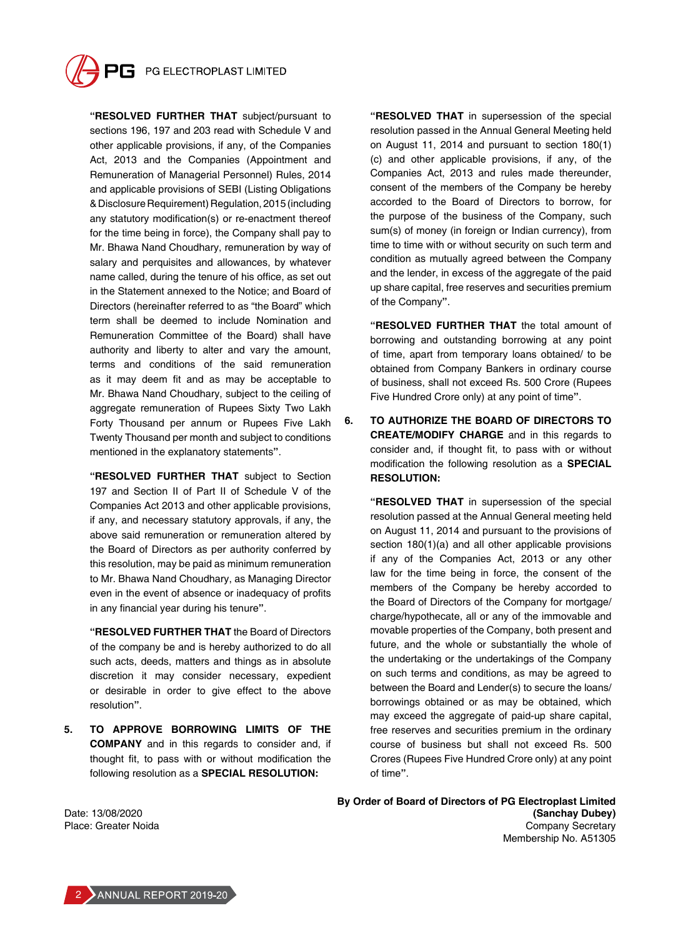

**"RESOLVED FURTHER THAT** subject/pursuant to sections 196, 197 and 203 read with Schedule V and other applicable provisions, if any, of the Companies Act, 2013 and the Companies (Appointment and Remuneration of Managerial Personnel) Rules, 2014 and applicable provisions of SEBI (Listing Obligations & Disclosure Requirement) Regulation, 2015 (including any statutory modification(s) or re-enactment thereof for the time being in force), the Company shall pay to Mr. Bhawa Nand Choudhary, remuneration by way of salary and perquisites and allowances, by whatever name called, during the tenure of his office, as set out in the Statement annexed to the Notice; and Board of Directors (hereinafter referred to as "the Board" which term shall be deemed to include Nomination and Remuneration Committee of the Board) shall have authority and liberty to alter and vary the amount, terms and conditions of the said remuneration as it may deem fit and as may be acceptable to Mr. Bhawa Nand Choudhary, subject to the ceiling of aggregate remuneration of Rupees Sixty Two Lakh Forty Thousand per annum or Rupees Five Lakh Twenty Thousand per month and subject to conditions mentioned in the explanatory statements**"**.

**"RESOLVED FURTHER THAT** subject to Section 197 and Section II of Part II of Schedule V of the Companies Act 2013 and other applicable provisions, if any, and necessary statutory approvals, if any, the above said remuneration or remuneration altered by the Board of Directors as per authority conferred by this resolution, may be paid as minimum remuneration to Mr. Bhawa Nand Choudhary, as Managing Director even in the event of absence or inadequacy of profits in any financial year during his tenure**"**.

**"RESOLVED FURTHER THAT** the Board of Directors of the company be and is hereby authorized to do all such acts, deeds, matters and things as in absolute discretion it may consider necessary, expedient or desirable in order to give effect to the above resolution**"**.

**5. TO APPROVE BORROWING LIMITS OF THE COMPANY** and in this regards to consider and, if thought fit, to pass with or without modification the following resolution as a **SPECIAL RESOLUTION:**

**"RESOLVED THAT** in supersession of the special resolution passed in the Annual General Meeting held on August 11, 2014 and pursuant to section 180(1) (c) and other applicable provisions, if any, of the Companies Act, 2013 and rules made thereunder, consent of the members of the Company be hereby accorded to the Board of Directors to borrow, for the purpose of the business of the Company, such sum(s) of money (in foreign or Indian currency), from time to time with or without security on such term and condition as mutually agreed between the Company and the lender, in excess of the aggregate of the paid up share capital, free reserves and securities premium of the Company**"**.

**"RESOLVED FURTHER THAT** the total amount of borrowing and outstanding borrowing at any point of time, apart from temporary loans obtained/ to be obtained from Company Bankers in ordinary course of business, shall not exceed Rs. 500 Crore (Rupees Five Hundred Crore only) at any point of time**"**.

**6. TO AUTHORIZE THE BOARD OF DIRECTORS TO CREATE/MODIFY CHARGE** and in this regards to consider and, if thought fit, to pass with or without modification the following resolution as a **SPECIAL RESOLUTION:**

**"RESOLVED THAT** in supersession of the special resolution passed at the Annual General meeting held on August 11, 2014 and pursuant to the provisions of section 180(1)(a) and all other applicable provisions if any of the Companies Act, 2013 or any other law for the time being in force, the consent of the members of the Company be hereby accorded to the Board of Directors of the Company for mortgage/ charge/hypothecate, all or any of the immovable and movable properties of the Company, both present and future, and the whole or substantially the whole of the undertaking or the undertakings of the Company on such terms and conditions, as may be agreed to between the Board and Lender(s) to secure the loans/ borrowings obtained or as may be obtained, which may exceed the aggregate of paid-up share capital, free reserves and securities premium in the ordinary course of business but shall not exceed Rs. 500 Crores (Rupees Five Hundred Crore only) at any point of time**"**.

**By Order of Board of Directors of PG Electroplast Limited (Sanchay Dubey)** Company Secretary Membership No. A51305

Date: 13/08/2020 Place: Greater Noida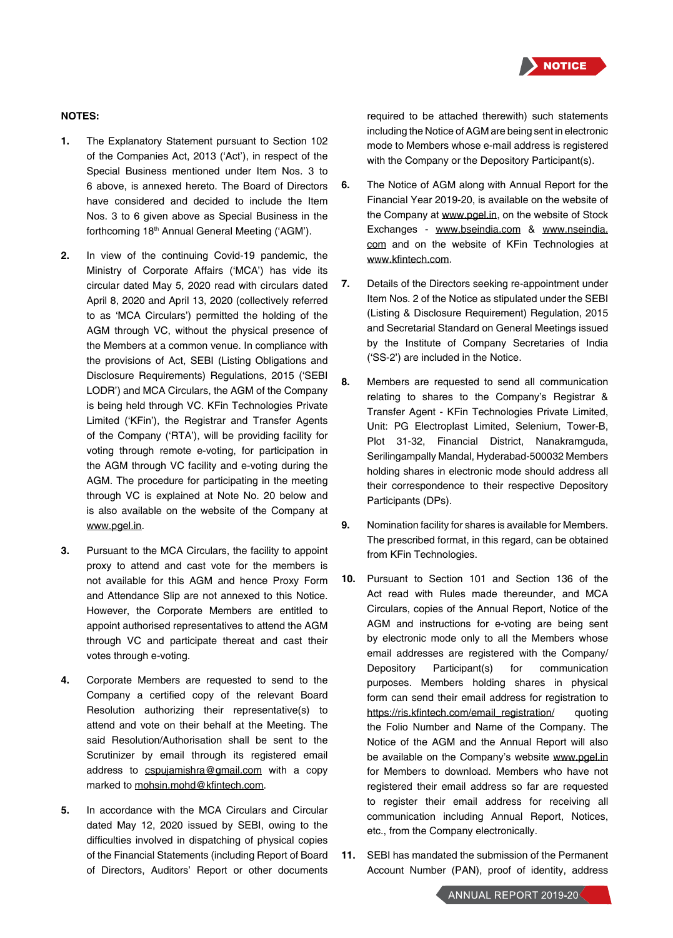

## **NOTES:**

- **1.** The Explanatory Statement pursuant to Section 102 of the Companies Act, 2013 ('Act'), in respect of the Special Business mentioned under Item Nos. 3 to 6 above, is annexed hereto. The Board of Directors have considered and decided to include the Item Nos. 3 to 6 given above as Special Business in the forthcoming 18<sup>th</sup> Annual General Meeting ('AGM').
- **2.** In view of the continuing Covid-19 pandemic, the Ministry of Corporate Affairs ('MCA') has vide its circular dated May 5, 2020 read with circulars dated April 8, 2020 and April 13, 2020 (collectively referred to as 'MCA Circulars') permitted the holding of the AGM through VC, without the physical presence of the Members at a common venue. In compliance with the provisions of Act, SEBI (Listing Obligations and Disclosure Requirements) Regulations, 2015 ('SEBI LODR') and MCA Circulars, the AGM of the Company is being held through VC. KFin Technologies Private Limited ('KFin'), the Registrar and Transfer Agents of the Company ('RTA'), will be providing facility for voting through remote e-voting, for participation in the AGM through VC facility and e-voting during the AGM. The procedure for participating in the meeting through VC is explained at Note No. 20 below and is also available on the website of the Company at www.pgel.in.
- **3.** Pursuant to the MCA Circulars, the facility to appoint proxy to attend and cast vote for the members is not available for this AGM and hence Proxy Form and Attendance Slip are not annexed to this Notice. However, the Corporate Members are entitled to appoint authorised representatives to attend the AGM through VC and participate thereat and cast their votes through e-voting.
- **4.** Corporate Members are requested to send to the Company a certified copy of the relevant Board Resolution authorizing their representative(s) to attend and vote on their behalf at the Meeting. The said Resolution/Authorisation shall be sent to the Scrutinizer by email through its registered email address to cspujamishra@gmail.com with a copy marked to mohsin.mohd@kfintech.com.
- **5.** In accordance with the MCA Circulars and Circular dated May 12, 2020 issued by SEBI, owing to the difficulties involved in dispatching of physical copies of the Financial Statements (including Report of Board of Directors, Auditors' Report or other documents

required to be attached therewith) such statements including the Notice of AGM are being sent in electronic mode to Members whose e-mail address is registered with the Company or the Depository Participant(s).

- **6.** The Notice of AGM along with Annual Report for the Financial Year 2019-20, is available on the website of the Company at www.pgel.in, on the website of Stock Exchanges - www.bseindia.com & www.nseindia. com and on the website of KFin Technologies at www.kfintech.com.
- **7.** Details of the Directors seeking re-appointment under Item Nos. 2 of the Notice as stipulated under the SEBI (Listing & Disclosure Requirement) Regulation, 2015 and Secretarial Standard on General Meetings issued by the Institute of Company Secretaries of India ('SS-2') are included in the Notice.
- **8.** Members are requested to send all communication relating to shares to the Company's Registrar & Transfer Agent - KFin Technologies Private Limited, Unit: PG Electroplast Limited, Selenium, Tower-B, Plot 31-32, Financial District, Nanakramguda, Serilingampally Mandal, Hyderabad-500032 Members holding shares in electronic mode should address all their correspondence to their respective Depository Participants (DPs).
- **9.** Nomination facility for shares is available for Members. The prescribed format, in this regard, can be obtained from KFin Technologies.
- **10.** Pursuant to Section 101 and Section 136 of the Act read with Rules made thereunder, and MCA Circulars, copies of the Annual Report, Notice of the AGM and instructions for e-voting are being sent by electronic mode only to all the Members whose email addresses are registered with the Company/ Depository Participant(s) for communication purposes. Members holding shares in physical form can send their email address for registration to https://ris.kfintech.com/email\_registration/ quoting the Folio Number and Name of the Company. The Notice of the AGM and the Annual Report will also be available on the Company's website www.pgel.in for Members to download. Members who have not registered their email address so far are requested to register their email address for receiving all communication including Annual Report, Notices, etc., from the Company electronically.
- **11.** SEBI has mandated the submission of the Permanent Account Number (PAN), proof of identity, address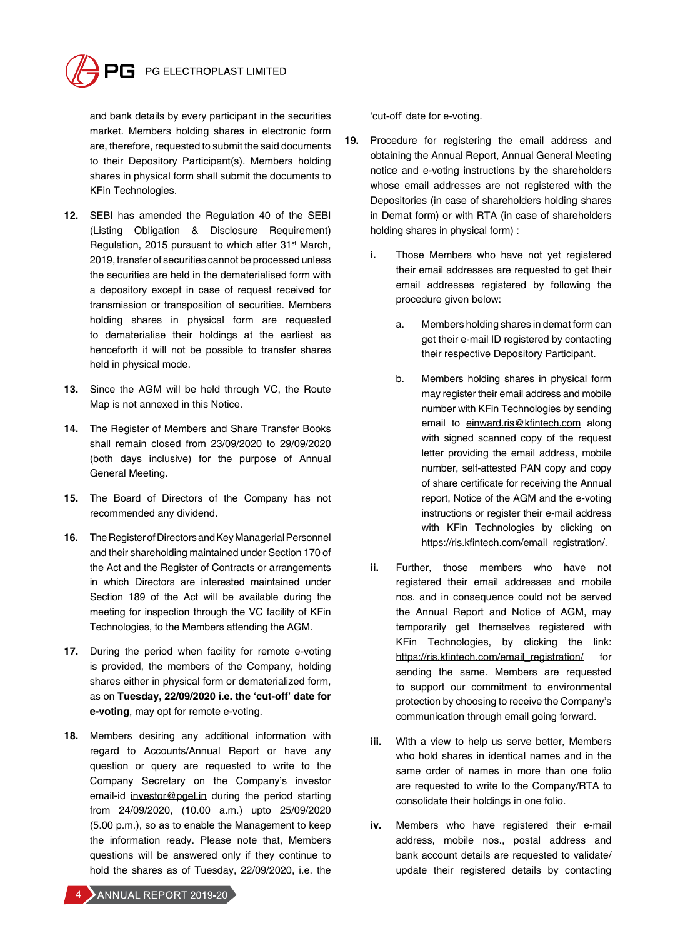

and bank details by every participant in the securities market. Members holding shares in electronic form are, therefore, requested to submit the said documents to their Depository Participant(s). Members holding shares in physical form shall submit the documents to KFin Technologies.

- **12.** SEBI has amended the Regulation 40 of the SEBI (Listing Obligation & Disclosure Requirement) Regulation, 2015 pursuant to which after 31<sup>st</sup> March, 2019, transfer of securities cannot be processed unless the securities are held in the dematerialised form with a depository except in case of request received for transmission or transposition of securities. Members holding shares in physical form are requested to dematerialise their holdings at the earliest as henceforth it will not be possible to transfer shares held in physical mode.
- **13.** Since the AGM will be held through VC, the Route Map is not annexed in this Notice.
- **14.** The Register of Members and Share Transfer Books shall remain closed from 23/09/2020 to 29/09/2020 (both days inclusive) for the purpose of Annual General Meeting.
- **15.** The Board of Directors of the Company has not recommended any dividend.
- **16.** The Register of Directors and Key Managerial Personnel and their shareholding maintained under Section 170 of the Act and the Register of Contracts or arrangements in which Directors are interested maintained under Section 189 of the Act will be available during the meeting for inspection through the VC facility of KFin Technologies, to the Members attending the AGM.
- **17.** During the period when facility for remote e-voting is provided, the members of the Company, holding shares either in physical form or dematerialized form, as on **Tuesday, 22/09/2020 i.e. the 'cut-off' date for e-voting**, may opt for remote e-voting.
- **18.** Members desiring any additional information with regard to Accounts/Annual Report or have any question or query are requested to write to the Company Secretary on the Company's investor email-id investor@pgel.in during the period starting from 24/09/2020, (10.00 a.m.) upto 25/09/2020 (5.00 p.m.), so as to enable the Management to keep the information ready. Please note that, Members questions will be answered only if they continue to hold the shares as of Tuesday, 22/09/2020, i.e. the

'cut-off' date for e-voting.

- **19.** Procedure for registering the email address and obtaining the Annual Report, Annual General Meeting notice and e-voting instructions by the shareholders whose email addresses are not registered with the Depositories (in case of shareholders holding shares in Demat form) or with RTA (in case of shareholders holding shares in physical form) :
	- **i.** Those Members who have not yet registered their email addresses are requested to get their email addresses registered by following the procedure given below:
		- a. Members holding shares in demat form can get their e-mail ID registered by contacting their respective Depository Participant.
		- b. Members holding shares in physical form may register their email address and mobile number with KFin Technologies by sending email to einward.ris@kfintech.com along with signed scanned copy of the request letter providing the email address, mobile number, self-attested PAN copy and copy of share certificate for receiving the Annual report, Notice of the AGM and the e-voting instructions or register their e-mail address with KFin Technologies by clicking on https://ris.kfintech.com/email\_registration/.
	- **ii.** Further, those members who have not registered their email addresses and mobile nos. and in consequence could not be served the Annual Report and Notice of AGM, may temporarily get themselves registered with KFin Technologies, by clicking the link: https://ris.kfintech.com/email\_registration/ for sending the same. Members are requested to support our commitment to environmental protection by choosing to receive the Company's communication through email going forward.
	- **iii.** With a view to help us serve better, Members who hold shares in identical names and in the same order of names in more than one folio are requested to write to the Company/RTA to consolidate their holdings in one folio.
	- **iv.** Members who have registered their e-mail address, mobile nos., postal address and bank account details are requested to validate/ update their registered details by contacting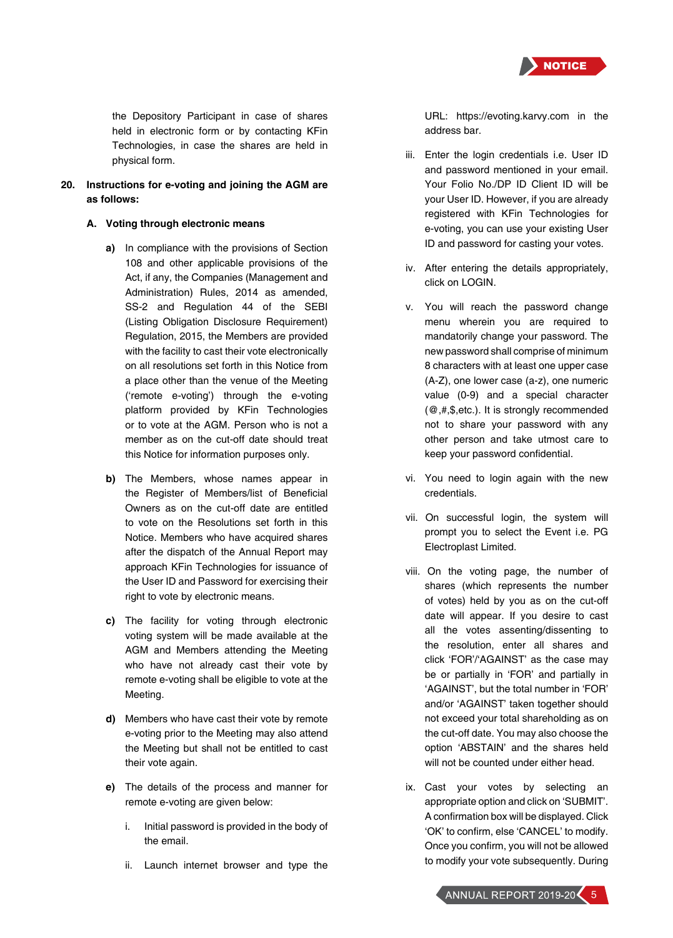

the Depository Participant in case of shares held in electronic form or by contacting KFin Technologies, in case the shares are held in physical form.

**20. Instructions for e-voting and joining the AGM are as follows:**

## **A. Voting through electronic means**

- **a)** In compliance with the provisions of Section 108 and other applicable provisions of the Act, if any, the Companies (Management and Administration) Rules, 2014 as amended, SS-2 and Regulation 44 of the SEBI (Listing Obligation Disclosure Requirement) Regulation, 2015, the Members are provided with the facility to cast their vote electronically on all resolutions set forth in this Notice from a place other than the venue of the Meeting ('remote e-voting') through the e-voting platform provided by KFin Technologies or to vote at the AGM. Person who is not a member as on the cut-off date should treat this Notice for information purposes only.
- **b)** The Members, whose names appear in the Register of Members/list of Beneficial Owners as on the cut-off date are entitled to vote on the Resolutions set forth in this Notice. Members who have acquired shares after the dispatch of the Annual Report may approach KFin Technologies for issuance of the User ID and Password for exercising their right to vote by electronic means.
- **c)** The facility for voting through electronic voting system will be made available at the AGM and Members attending the Meeting who have not already cast their vote by remote e-voting shall be eligible to vote at the Meeting.
- **d)** Members who have cast their vote by remote e-voting prior to the Meeting may also attend the Meeting but shall not be entitled to cast their vote again.
- **e)** The details of the process and manner for remote e-voting are given below:
	- i. Initial password is provided in the body of the email.
	- ii. Launch internet browser and type the

URL: https://evoting.karvy.com in the address bar.

- iii. Enter the login credentials i.e. User ID and password mentioned in your email. Your Folio No./DP ID Client ID will be your User ID. However, if you are already registered with KFin Technologies for e-voting, you can use your existing User ID and password for casting your votes.
- iv. After entering the details appropriately, click on LOGIN.
- v. You will reach the password change menu wherein you are required to mandatorily change your password. The new password shall comprise of minimum 8 characters with at least one upper case (A-Z), one lower case (a-z), one numeric value (0-9) and a special character (@,#,\$,etc.). It is strongly recommended not to share your password with any other person and take utmost care to keep your password confidential.
- vi. You need to login again with the new credentials.
- vii. On successful login, the system will prompt you to select the Event i.e. PG Electroplast Limited.
- viii. On the voting page, the number of shares (which represents the number of votes) held by you as on the cut-off date will appear. If you desire to cast all the votes assenting/dissenting to the resolution, enter all shares and click 'FOR'/'AGAINST' as the case may be or partially in 'FOR' and partially in 'AGAINST', but the total number in 'FOR' and/or 'AGAINST' taken together should not exceed your total shareholding as on the cut-off date. You may also choose the option 'ABSTAIN' and the shares held will not be counted under either head.
- ix. Cast your votes by selecting an appropriate option and click on 'SUBMIT'. A confirmation box will be displayed. Click 'OK' to confirm, else 'CANCEL' to modify. Once you confirm, you will not be allowed to modify your vote subsequently. During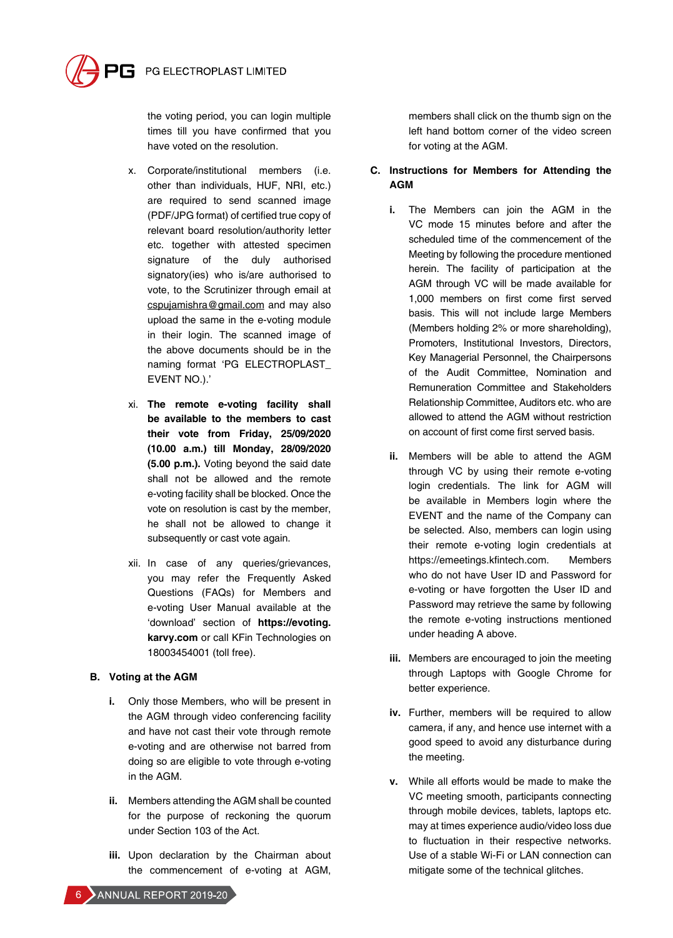

the voting period, you can login multiple times till you have confirmed that you have voted on the resolution.

- x. Corporate/institutional members (i.e. other than individuals, HUF, NRI, etc.) are required to send scanned image (PDF/JPG format) of certified true copy of relevant board resolution/authority letter etc. together with attested specimen signature of the duly authorised signatory(ies) who is/are authorised to vote, to the Scrutinizer through email at cspujamishra@gmail.com and may also upload the same in the e-voting module in their login. The scanned image of the above documents should be in the naming format 'PG ELECTROPLAST\_ EVENT NO.).'
- xi. **The remote e-voting facility shall be available to the members to cast their vote from Friday, 25/09/2020 (10.00 a.m.) till Monday, 28/09/2020 (5.00 p.m.).** Voting beyond the said date shall not be allowed and the remote e-voting facility shall be blocked. Once the vote on resolution is cast by the member, he shall not be allowed to change it subsequently or cast vote again.
- xii. In case of any queries/grievances, you may refer the Frequently Asked Questions (FAQs) for Members and e-voting User Manual available at the 'download' section of **https://evoting. karvy.com** or call KFin Technologies on 18003454001 (toll free).

## **B. Voting at the AGM**

- **i.** Only those Members, who will be present in the AGM through video conferencing facility and have not cast their vote through remote e-voting and are otherwise not barred from doing so are eligible to vote through e-voting in the AGM.
- **ii.** Members attending the AGM shall be counted for the purpose of reckoning the quorum under Section 103 of the Act.
- **iii.** Upon declaration by the Chairman about the commencement of e-voting at AGM,

members shall click on the thumb sign on the left hand bottom corner of the video screen for voting at the AGM.

## **C. Instructions for Members for Attending the AGM**

- **i.** The Members can join the AGM in the VC mode 15 minutes before and after the scheduled time of the commencement of the Meeting by following the procedure mentioned herein. The facility of participation at the AGM through VC will be made available for 1,000 members on first come first served basis. This will not include large Members (Members holding 2% or more shareholding), Promoters, Institutional Investors, Directors, Key Managerial Personnel, the Chairpersons of the Audit Committee, Nomination and Remuneration Committee and Stakeholders Relationship Committee, Auditors etc. who are allowed to attend the AGM without restriction on account of first come first served basis.
- **ii.** Members will be able to attend the AGM through VC by using their remote e-voting login credentials. The link for AGM will be available in Members login where the EVENT and the name of the Company can be selected. Also, members can login using their remote e-voting login credentials at https://emeetings.kfintech.com. Members who do not have User ID and Password for e-voting or have forgotten the User ID and Password may retrieve the same by following the remote e-voting instructions mentioned under heading A above.
- **iii.** Members are encouraged to join the meeting through Laptops with Google Chrome for better experience.
- **iv.** Further, members will be required to allow camera, if any, and hence use internet with a good speed to avoid any disturbance during the meeting.
- **v.** While all efforts would be made to make the VC meeting smooth, participants connecting through mobile devices, tablets, laptops etc. may at times experience audio/video loss due to fluctuation in their respective networks. Use of a stable Wi-Fi or LAN connection can mitigate some of the technical glitches.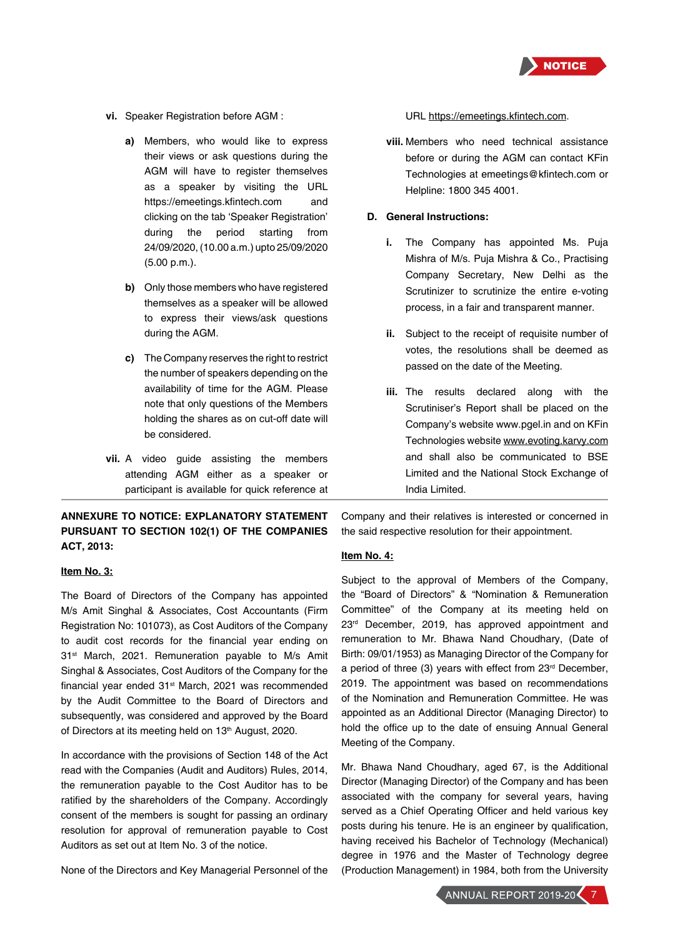

- **vi.** Speaker Registration before AGM :
	- **a)** Members, who would like to express their views or ask questions during the AGM will have to register themselves as a speaker by visiting the URL https://emeetings.kfintech.com and clicking on the tab 'Speaker Registration' during the period starting from 24/09/2020, (10.00 a.m.) upto 25/09/2020 (5.00 p.m.).
	- **b)** Only those members who have registered themselves as a speaker will be allowed to express their views/ask questions during the AGM.
	- **c)** The Company reserves the right to restrict the number of speakers depending on the availability of time for the AGM. Please note that only questions of the Members holding the shares as on cut-off date will be considered.
- **vii.** A video guide assisting the members attending AGM either as a speaker or participant is available for quick reference at

## **ANNEXURE TO NOTICE: EXPLANATORY STATEMENT PURSUANT TO SECTION 102(1) OF THE COMPANIES ACT, 2013:**

#### **Item No. 3:**

The Board of Directors of the Company has appointed M/s Amit Singhal & Associates, Cost Accountants (Firm Registration No: 101073), as Cost Auditors of the Company to audit cost records for the financial year ending on 31<sup>st</sup> March, 2021. Remuneration payable to M/s Amit Singhal & Associates, Cost Auditors of the Company for the financial year ended 31<sup>st</sup> March, 2021 was recommended by the Audit Committee to the Board of Directors and subsequently, was considered and approved by the Board of Directors at its meeting held on 13<sup>th</sup> August, 2020.

In accordance with the provisions of Section 148 of the Act read with the Companies (Audit and Auditors) Rules, 2014, the remuneration payable to the Cost Auditor has to be ratified by the shareholders of the Company. Accordingly consent of the members is sought for passing an ordinary resolution for approval of remuneration payable to Cost Auditors as set out at Item No. 3 of the notice.

None of the Directors and Key Managerial Personnel of the

URL https://emeetings.kfintech.com.

**viii.** Members who need technical assistance before or during the AGM can contact KFin Technologies at emeetings@kfintech.com or Helpline: 1800 345 4001.

#### **D. General Instructions:**

- **i.** The Company has appointed Ms. Puja Mishra of M/s. Puja Mishra & Co., Practising Company Secretary, New Delhi as the Scrutinizer to scrutinize the entire e-voting process, in a fair and transparent manner.
- **ii.** Subject to the receipt of requisite number of votes, the resolutions shall be deemed as passed on the date of the Meeting.
- **iii.** The results declared along with the Scrutiniser's Report shall be placed on the Company's website www.pgel.in and on KFin Technologies website www.evoting.karvy.com and shall also be communicated to BSE Limited and the National Stock Exchange of India Limited.

Company and their relatives is interested or concerned in the said respective resolution for their appointment.

#### **Item No. 4:**

Subject to the approval of Members of the Company, the "Board of Directors" & "Nomination & Remuneration Committee" of the Company at its meeting held on 23<sup>rd</sup> December, 2019, has approved appointment and remuneration to Mr. Bhawa Nand Choudhary, (Date of Birth: 09/01/1953) as Managing Director of the Company for a period of three (3) years with effect from 23rd December, 2019. The appointment was based on recommendations of the Nomination and Remuneration Committee. He was appointed as an Additional Director (Managing Director) to hold the office up to the date of ensuing Annual General Meeting of the Company.

Mr. Bhawa Nand Choudhary, aged 67, is the Additional Director (Managing Director) of the Company and has been associated with the company for several years, having served as a Chief Operating Officer and held various key posts during his tenure. He is an engineer by qualification, having received his Bachelor of Technology (Mechanical) degree in 1976 and the Master of Technology degree (Production Management) in 1984, both from the University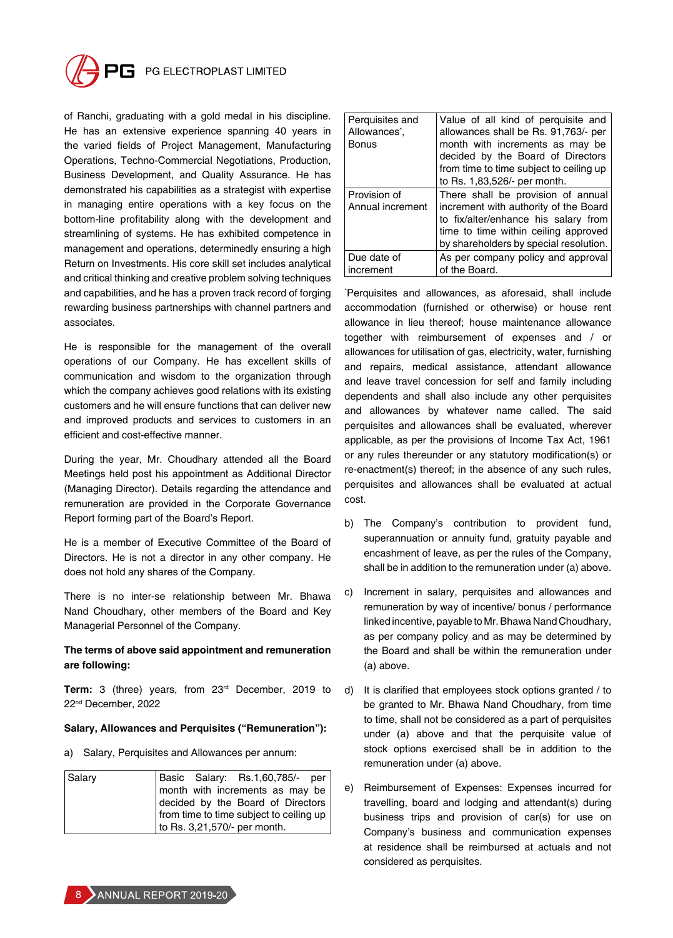

of Ranchi, graduating with a gold medal in his discipline. He has an extensive experience spanning 40 years in the varied fields of Project Management, Manufacturing Operations, Techno-Commercial Negotiations, Production, Business Development, and Quality Assurance. He has demonstrated his capabilities as a strategist with expertise in managing entire operations with a key focus on the bottom-line profitability along with the development and streamlining of systems. He has exhibited competence in management and operations, determinedly ensuring a high Return on Investments. His core skill set includes analytical and critical thinking and creative problem solving techniques and capabilities, and he has a proven track record of forging rewarding business partnerships with channel partners and associates.

He is responsible for the management of the overall operations of our Company. He has excellent skills of communication and wisdom to the organization through which the company achieves good relations with its existing customers and he will ensure functions that can deliver new and improved products and services to customers in an efficient and cost-effective manner.

During the year, Mr. Choudhary attended all the Board Meetings held post his appointment as Additional Director (Managing Director). Details regarding the attendance and remuneration are provided in the Corporate Governance Report forming part of the Board's Report.

He is a member of Executive Committee of the Board of Directors. He is not a director in any other company. He does not hold any shares of the Company.

There is no inter-se relationship between Mr. Bhawa Nand Choudhary, other members of the Board and Key Managerial Personnel of the Company.

## **The terms of above said appointment and remuneration are following:**

**Term:** 3 (three) years, from 23rd December, 2019 to 22nd December, 2022

## **Salary, Allowances and Perquisites ("Remuneration"):**

a) Salary, Perquisites and Allowances per annum:

| Salary |                                         | Basic Salary: Rs.1,60,785/- per   |
|--------|-----------------------------------------|-----------------------------------|
|        |                                         | month with increments as may be   |
|        |                                         | decided by the Board of Directors |
|        | from time to time subject to ceiling up |                                   |
|        | to Rs. 3,21,570/- per month.            |                                   |

| Perquisites and<br>Allowances <sup>*</sup> ,<br><b>Bonus</b> | Value of all kind of perquisite and<br>allowances shall be Rs. 91,763/- per<br>month with increments as may be<br>decided by the Board of Directors<br>from time to time subject to ceiling up<br>to Rs. 1,83,526/- per month. |
|--------------------------------------------------------------|--------------------------------------------------------------------------------------------------------------------------------------------------------------------------------------------------------------------------------|
| Provision of<br>Annual increment                             | There shall be provision of annual<br>increment with authority of the Board<br>to fix/alter/enhance his salary from<br>time to time within ceiling approved<br>by shareholders by special resolution.                          |
| Due date of<br>increment                                     | As per company policy and approval<br>of the Board.                                                                                                                                                                            |

\* Perquisites and allowances, as aforesaid, shall include accommodation (furnished or otherwise) or house rent allowance in lieu thereof; house maintenance allowance together with reimbursement of expenses and / or allowances for utilisation of gas, electricity, water, furnishing and repairs, medical assistance, attendant allowance and leave travel concession for self and family including dependents and shall also include any other perquisites and allowances by whatever name called. The said perquisites and allowances shall be evaluated, wherever applicable, as per the provisions of Income Tax Act, 1961 or any rules thereunder or any statutory modification(s) or re-enactment(s) thereof; in the absence of any such rules, perquisites and allowances shall be evaluated at actual cost.

- b) The Company's contribution to provident fund, superannuation or annuity fund, gratuity payable and encashment of leave, as per the rules of the Company, shall be in addition to the remuneration under (a) above.
- c) Increment in salary, perquisites and allowances and remuneration by way of incentive/ bonus / performance linked incentive, payable to Mr. Bhawa Nand Choudhary, as per company policy and as may be determined by the Board and shall be within the remuneration under (a) above.
- d) It is clarified that employees stock options granted / to be granted to Mr. Bhawa Nand Choudhary, from time to time, shall not be considered as a part of perquisites under (a) above and that the perquisite value of stock options exercised shall be in addition to the remuneration under (a) above.
- e) Reimbursement of Expenses: Expenses incurred for travelling, board and lodging and attendant(s) during business trips and provision of car(s) for use on Company's business and communication expenses at residence shall be reimbursed at actuals and not considered as perquisites.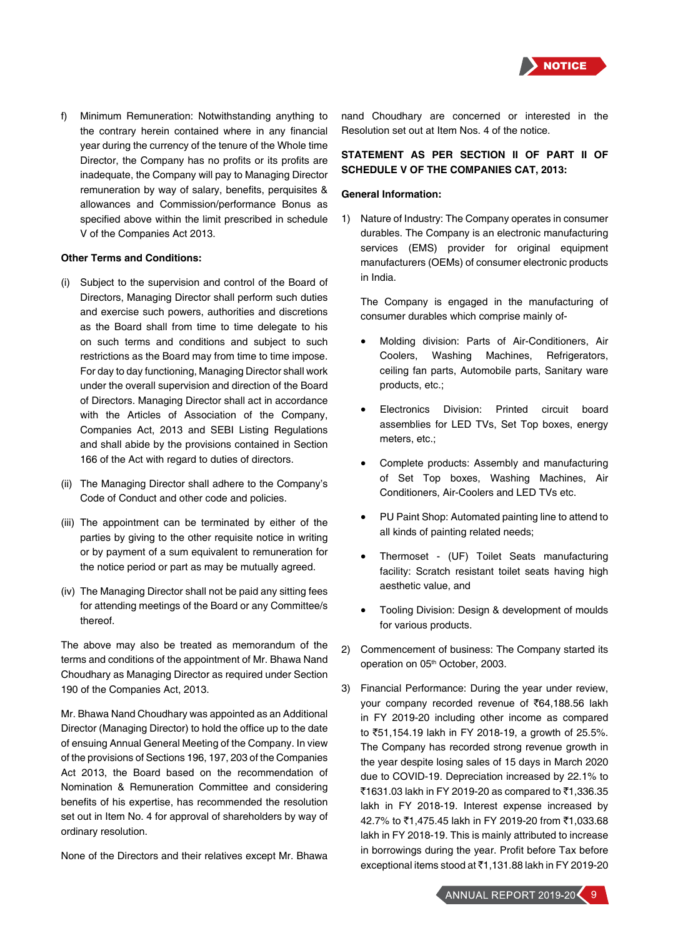

f) Minimum Remuneration: Notwithstanding anything to the contrary herein contained where in any financial year during the currency of the tenure of the Whole time Director, the Company has no profits or its profits are inadequate, the Company will pay to Managing Director remuneration by way of salary, benefits, perquisites & allowances and Commission/performance Bonus as specified above within the limit prescribed in schedule V of the Companies Act 2013.

#### **Other Terms and Conditions:**

- (i) Subject to the supervision and control of the Board of Directors, Managing Director shall perform such duties and exercise such powers, authorities and discretions as the Board shall from time to time delegate to his on such terms and conditions and subject to such restrictions as the Board may from time to time impose. For day to day functioning, Managing Director shall work under the overall supervision and direction of the Board of Directors. Managing Director shall act in accordance with the Articles of Association of the Company, Companies Act, 2013 and SEBI Listing Regulations and shall abide by the provisions contained in Section 166 of the Act with regard to duties of directors.
- (ii) The Managing Director shall adhere to the Company's Code of Conduct and other code and policies.
- (iii) The appointment can be terminated by either of the parties by giving to the other requisite notice in writing or by payment of a sum equivalent to remuneration for the notice period or part as may be mutually agreed.
- (iv) The Managing Director shall not be paid any sitting fees for attending meetings of the Board or any Committee/s thereof.

The above may also be treated as memorandum of the terms and conditions of the appointment of Mr. Bhawa Nand Choudhary as Managing Director as required under Section 190 of the Companies Act, 2013.

Mr. Bhawa Nand Choudhary was appointed as an Additional Director (Managing Director) to hold the office up to the date of ensuing Annual General Meeting of the Company. In view of the provisions of Sections 196, 197, 203 of the Companies Act 2013, the Board based on the recommendation of Nomination & Remuneration Committee and considering benefits of his expertise, has recommended the resolution set out in Item No. 4 for approval of shareholders by way of ordinary resolution.

None of the Directors and their relatives except Mr. Bhawa

nand Choudhary are concerned or interested in the Resolution set out at Item Nos. 4 of the notice.

## **STATEMENT AS PER SECTION II OF PART II OF SCHEDULE V OF THE COMPANIES CAT, 2013:**

#### **General Information:**

1) Nature of Industry: The Company operates in consumer durables. The Company is an electronic manufacturing services (EMS) provider for original equipment manufacturers (OEMs) of consumer electronic products in India.

The Company is engaged in the manufacturing of consumer durables which comprise mainly of-

- Molding division: Parts of Air-Conditioners, Air Coolers, Washing Machines, Refrigerators, ceiling fan parts, Automobile parts, Sanitary ware products, etc.;
- Electronics Division: Printed circuit board assemblies for LED TVs, Set Top boxes, energy meters, etc.;
- Complete products: Assembly and manufacturing of Set Top boxes, Washing Machines, Air Conditioners, Air-Coolers and LED TVs etc.
- PU Paint Shop: Automated painting line to attend to all kinds of painting related needs;
- Thermoset (UF) Toilet Seats manufacturing facility: Scratch resistant toilet seats having high aesthetic value, and
- Tooling Division: Design & development of moulds for various products.
- 2) Commencement of business: The Company started its operation on 05<sup>th</sup> October, 2003.
- 3) Financial Performance: During the year under review, your company recorded revenue of ₹64,188.56 lakh in FY 2019-20 including other income as compared to `51,154.19 lakh in FY 2018-19, a growth of 25.5%. The Company has recorded strong revenue growth in the year despite losing sales of 15 days in March 2020 due to COVID-19. Depreciation increased by 22.1% to ₹1631.03 lakh in FY 2019-20 as compared to ₹1,336.35 lakh in FY 2018-19. Interest expense increased by 42.7% to ₹1,475.45 lakh in FY 2019-20 from ₹1,033.68 lakh in FY 2018-19. This is mainly attributed to increase in borrowings during the year. Profit before Tax before exceptional items stood at ₹1,131.88 lakh in FY 2019-20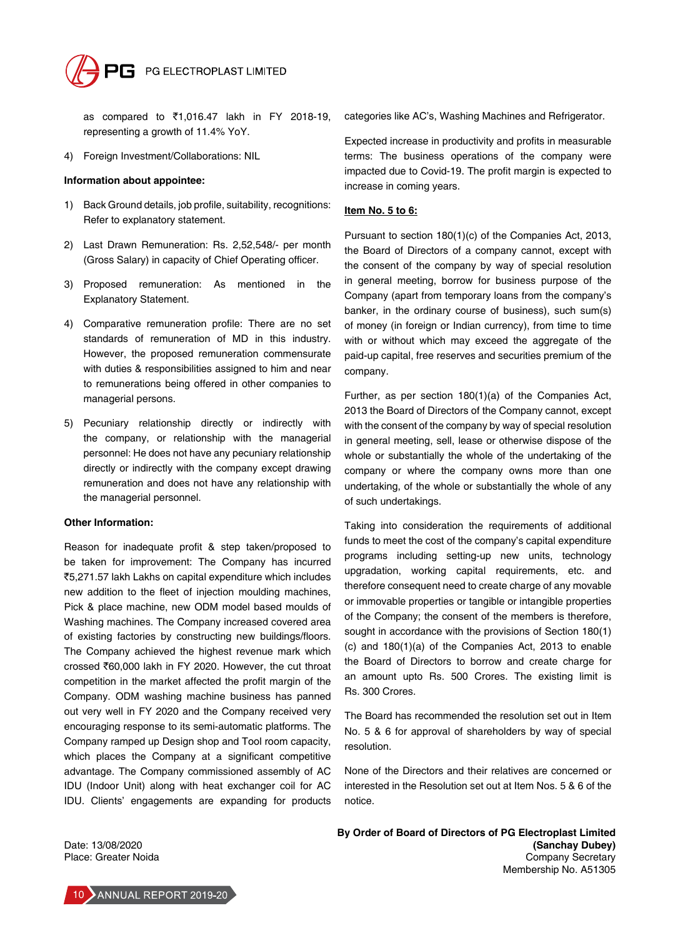

as compared to ₹1,016.47 lakh in FY 2018-19, representing a growth of 11.4% YoY.

4) Foreign Investment/Collaborations: NIL

#### **Information about appointee:**

- 1) Back Ground details, job profile, suitability, recognitions: Refer to explanatory statement.
- 2) Last Drawn Remuneration: Rs. 2,52,548/- per month (Gross Salary) in capacity of Chief Operating officer.
- 3) Proposed remuneration: As mentioned in the Explanatory Statement.
- 4) Comparative remuneration profile: There are no set standards of remuneration of MD in this industry. However, the proposed remuneration commensurate with duties & responsibilities assigned to him and near to remunerations being offered in other companies to managerial persons.
- 5) Pecuniary relationship directly or indirectly with the company, or relationship with the managerial personnel: He does not have any pecuniary relationship directly or indirectly with the company except drawing remuneration and does not have any relationship with the managerial personnel.

#### **Other Information:**

Reason for inadequate profit & step taken/proposed to be taken for improvement: The Company has incurred `5,271.57 lakh Lakhs on capital expenditure which includes new addition to the fleet of injection moulding machines, Pick & place machine, new ODM model based moulds of Washing machines. The Company increased covered area of existing factories by constructing new buildings/floors. The Company achieved the highest revenue mark which crossed `60,000 lakh in FY 2020. However, the cut throat competition in the market affected the profit margin of the Company. ODM washing machine business has panned out very well in FY 2020 and the Company received very encouraging response to its semi-automatic platforms. The Company ramped up Design shop and Tool room capacity, which places the Company at a significant competitive advantage. The Company commissioned assembly of AC IDU (Indoor Unit) along with heat exchanger coil for AC IDU. Clients' engagements are expanding for products

categories like AC's, Washing Machines and Refrigerator.

Expected increase in productivity and profits in measurable terms: The business operations of the company were impacted due to Covid-19. The profit margin is expected to increase in coming years.

#### **Item No. 5 to 6:**

Pursuant to section 180(1)(c) of the Companies Act, 2013, the Board of Directors of a company cannot, except with the consent of the company by way of special resolution in general meeting, borrow for business purpose of the Company (apart from temporary loans from the company's banker, in the ordinary course of business), such sum(s) of money (in foreign or Indian currency), from time to time with or without which may exceed the aggregate of the paid-up capital, free reserves and securities premium of the company.

Further, as per section 180(1)(a) of the Companies Act, 2013 the Board of Directors of the Company cannot, except with the consent of the company by way of special resolution in general meeting, sell, lease or otherwise dispose of the whole or substantially the whole of the undertaking of the company or where the company owns more than one undertaking, of the whole or substantially the whole of any of such undertakings.

Taking into consideration the requirements of additional funds to meet the cost of the company's capital expenditure programs including setting-up new units, technology upgradation, working capital requirements, etc. and therefore consequent need to create charge of any movable or immovable properties or tangible or intangible properties of the Company; the consent of the members is therefore, sought in accordance with the provisions of Section 180(1) (c) and 180(1)(a) of the Companies Act, 2013 to enable the Board of Directors to borrow and create charge for an amount upto Rs. 500 Crores. The existing limit is Rs. 300 Crores.

The Board has recommended the resolution set out in Item No. 5 & 6 for approval of shareholders by way of special resolution.

None of the Directors and their relatives are concerned or interested in the Resolution set out at Item Nos. 5 & 6 of the notice.

Date: 13/08/2020 Place: Greater Noida **By Order of Board of Directors of PG Electroplast Limited (Sanchay Dubey)** Company Secretary Membership No. A51305